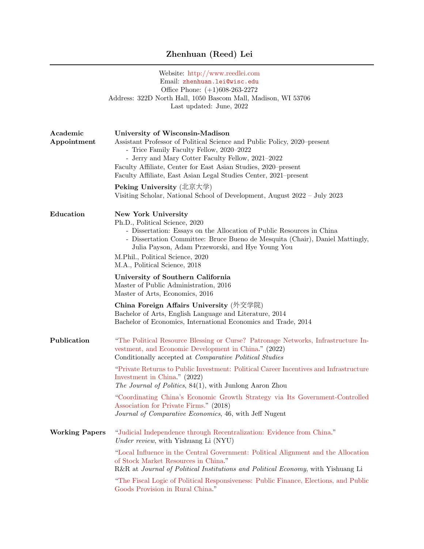## Zhenhuan (Reed) Lei

|                         | Website: http://www.reedlei.com<br>Email: zhenhuan.lei@wisc.edu<br>Office Phone: $(+1)608-263-2272$<br>Address: 322D North Hall, 1050 Bascom Mall, Madison, WI 53706<br>Last updated: June, 2022                                                                                                                                                   |
|-------------------------|----------------------------------------------------------------------------------------------------------------------------------------------------------------------------------------------------------------------------------------------------------------------------------------------------------------------------------------------------|
| Academic<br>Appointment | University of Wisconsin-Madison<br>Assistant Professor of Political Science and Public Policy, 2020–present<br>- Trice Family Faculty Fellow, 2020–2022<br>- Jerry and Mary Cotter Faculty Fellow, 2021-2022<br>Faculty Affiliate, Center for East Asian Studies, 2020–present<br>Faculty Affiliate, East Asian Legal Studies Center, 2021–present |
|                         | Peking University (北京大学)<br>Visiting Scholar, National School of Development, August 2022 - July 2023                                                                                                                                                                                                                                              |
| Education               | New York University<br>Ph.D., Political Science, 2020<br>- Dissertation: Essays on the Allocation of Public Resources in China<br>- Dissertation Committee: Bruce Bueno de Mesquita (Chair), Daniel Mattingly,<br>Julia Payson, Adam Przeworski, and Hye Young You<br>M.Phil., Political Science, 2020<br>M.A., Political Science, 2018            |
|                         | University of Southern California<br>Master of Public Administration, 2016<br>Master of Arts, Economics, 2016                                                                                                                                                                                                                                      |
|                         | China Foreign Affairs University (外交学院)<br>Bachelor of Arts, English Language and Literature, 2014<br>Bachelor of Economics, International Economics and Trade, 2014                                                                                                                                                                               |
| Publication             | "The Political Resource Blessing or Curse? Patronage Networks, Infrastructure In-<br>vestment, and Economic Development in China." (2022)<br>Conditionally accepted at <i>Comparative Political Studies</i>                                                                                                                                        |
|                         | "Private Returns to Public Investment: Political Career Incentives and Infrastructure<br>Investment in China." (2022)<br>The Journal of Politics, 84(1), with Junlong Aaron Zhou                                                                                                                                                                   |
|                         | "Coordinating China's Economic Growth Strategy via Its Government-Controlled<br>Association for Private Firms." (2018)<br>Journal of Comparative Economics, 46, with Jeff Nugent                                                                                                                                                                   |
| <b>Working Papers</b>   | "Judicial Independence through Recentralization: Evidence from China."<br>Under review, with Yishuang Li (NYU)                                                                                                                                                                                                                                     |
|                         | "Local Influence in the Central Government: Political Alignment and the Allocation<br>of Stock Market Resources in China."<br>R&R at Journal of Political Institutions and Political Economy, with Yishuang Li                                                                                                                                     |
|                         | "The Fiscal Logic of Political Responsiveness: Public Finance, Elections, and Public<br>Goods Provision in Rural China."                                                                                                                                                                                                                           |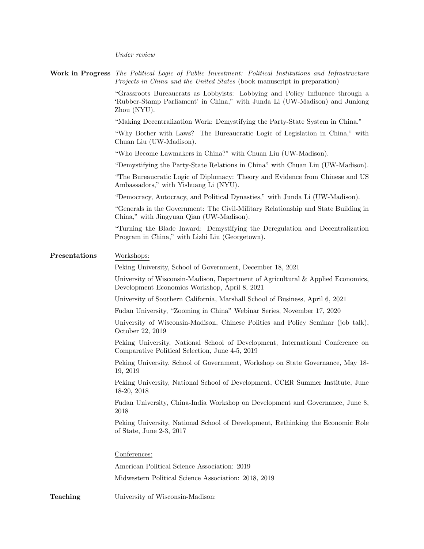Under review

|               | Work in Progress The Political Logic of Public Investment: Political Institutions and Infrastructure<br><i>Projects in China and the United States</i> (book manuscript in preparation) |
|---------------|-----------------------------------------------------------------------------------------------------------------------------------------------------------------------------------------|
|               | "Grassroots Bureaucrats as Lobbyists: Lobbying and Policy Influence through a<br>'Rubber-Stamp Parliament' in China," with Junda Li (UW-Madison) and Junlong<br>Zhou (NYU).             |
|               | "Making Decentralization Work: Demystifying the Party-State System in China."                                                                                                           |
|               | "Why Bother with Laws? The Bureaucratic Logic of Legislation in China," with<br>Chuan Liu (UW-Madison).                                                                                 |
|               | "Who Become Lawmakers in China?" with Chuan Liu (UW-Madison).                                                                                                                           |
|               | "Demystifying the Party-State Relations in China" with Chuan Liu (UW-Madison).                                                                                                          |
|               | "The Bureaucratic Logic of Diplomacy: Theory and Evidence from Chinese and US<br>Ambassadors," with Yishuang Li (NYU).                                                                  |
|               | "Democracy, Autocracy, and Political Dynasties," with Junda Li (UW-Madison).                                                                                                            |
|               | "Generals in the Government: The Civil-Military Relationship and State Building in<br>China," with Jingyuan Qian (UW-Madison).                                                          |
|               | "Turning the Blade Inward: Demystifying the Deregulation and Decentralization<br>Program in China," with Lizhi Liu (Georgetown).                                                        |
| Presentations | Workshops:                                                                                                                                                                              |
|               | Peking University, School of Government, December 18, 2021                                                                                                                              |
|               | University of Wisconsin-Madison, Department of Agricultural & Applied Economics,<br>Development Economics Workshop, April 8, 2021                                                       |
|               | University of Southern California, Marshall School of Business, April 6, 2021                                                                                                           |
|               | Fudan University, "Zooming in China" Webinar Series, November 17, 2020                                                                                                                  |
|               | University of Wisconsin-Madison, Chinese Politics and Policy Seminar (job talk),<br>October 22, 2019                                                                                    |
|               | Peking University, National School of Development, International Conference on<br>Comparative Political Selection, June 4-5, 2019                                                       |
|               | Peking University, School of Government, Workshop on State Governance, May 18-<br>19, 2019                                                                                              |
|               | Peking University, National School of Development, CCER Summer Institute, June<br>18-20, 2018                                                                                           |
|               | Fudan University, China-India Workshop on Development and Governance, June 8,<br>2018                                                                                                   |
|               | Peking University, National School of Development, Rethinking the Economic Role<br>of State, June $2-3$ , $2017$                                                                        |
|               | Conferences:                                                                                                                                                                            |
|               | American Political Science Association: 2019                                                                                                                                            |
|               | Midwestern Political Science Association: 2018, 2019                                                                                                                                    |
| Teaching      | University of Wisconsin-Madison:                                                                                                                                                        |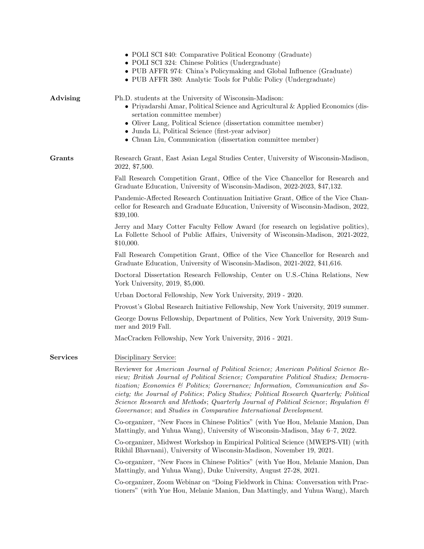|                 | • POLI SCI 840: Comparative Political Economy (Graduate)<br>• POLI SCI 324: Chinese Politics (Undergraduate)<br>• PUB AFFR 974: China's Policymaking and Global Influence (Graduate)<br>• PUB AFFR 380: Analytic Tools for Public Policy (Undergraduate)                                                                                                                                                                                                                                                                      |
|-----------------|-------------------------------------------------------------------------------------------------------------------------------------------------------------------------------------------------------------------------------------------------------------------------------------------------------------------------------------------------------------------------------------------------------------------------------------------------------------------------------------------------------------------------------|
| Advising        | Ph.D. students at the University of Wisconsin-Madison:<br>$\bullet$ Priyadarshi Amar, Political Science and Agricultural & Applied Economics (dis-<br>sertation committee member)<br>• Oliver Lang, Political Science (dissertation committee member)<br>• Junda Li, Political Science (first-year advisor)<br>• Chuan Liu, Communication (dissertation committee member)                                                                                                                                                     |
| <b>Grants</b>   | Research Grant, East Asian Legal Studies Center, University of Wisconsin-Madison,<br>2022, \$7,500.                                                                                                                                                                                                                                                                                                                                                                                                                           |
|                 | Fall Research Competition Grant, Office of the Vice Chancellor for Research and<br>Graduate Education, University of Wisconsin-Madison, 2022-2023, \$47,132.                                                                                                                                                                                                                                                                                                                                                                  |
|                 | Pandemic-Affected Research Continuation Initiative Grant, Office of the Vice Chan-<br>cellor for Research and Graduate Education, University of Wisconsin-Madison, 2022,<br>\$39,100.                                                                                                                                                                                                                                                                                                                                         |
|                 | Jerry and Mary Cotter Faculty Fellow Award (for research on legislative politics),<br>La Follette School of Public Affairs, University of Wisconsin-Madison, 2021-2022,<br>\$10,000.                                                                                                                                                                                                                                                                                                                                          |
|                 | Fall Research Competition Grant, Office of the Vice Chancellor for Research and<br>Graduate Education, University of Wisconsin-Madison, 2021-2022, \$41,616.                                                                                                                                                                                                                                                                                                                                                                  |
|                 | Doctoral Dissertation Research Fellowship, Center on U.S.-China Relations, New<br>York University, 2019, \$5,000.                                                                                                                                                                                                                                                                                                                                                                                                             |
|                 | Urban Doctoral Fellowship, New York University, 2019 - 2020.                                                                                                                                                                                                                                                                                                                                                                                                                                                                  |
|                 | Provost's Global Research Initiative Fellowship, New York University, 2019 summer.                                                                                                                                                                                                                                                                                                                                                                                                                                            |
|                 | George Downs Fellowship, Department of Politics, New York University, 2019 Sum-<br>mer and 2019 Fall.                                                                                                                                                                                                                                                                                                                                                                                                                         |
|                 | MacCracken Fellowship, New York University, 2016 - 2021.                                                                                                                                                                                                                                                                                                                                                                                                                                                                      |
| <b>Services</b> | Disciplinary Service:                                                                                                                                                                                                                                                                                                                                                                                                                                                                                                         |
|                 | Reviewer for American Journal of Political Science; American Political Science Re-<br>view; British Journal of Political Science; Comparative Political Studies; Democra-<br>tization; Economics & Politics; Governance; Information, Communication and So-<br>ciety; the Journal of Politics; Policy Studies; Political Research Quarterly; Political<br>Science Research and Methods; Quarterly Journal of Political Science; Regulation $\mathcal{C}$<br>Governance; and Studies in Comparative International Development. |
|                 | Co-organizer, "New Faces in Chinese Politics" (with Yue Hou, Melanie Manion, Dan<br>Mattingly, and Yuhua Wang), University of Wisconsin-Madison, May 6–7, 2022.                                                                                                                                                                                                                                                                                                                                                               |
|                 | Co-organizer, Midwest Workshop in Empirical Political Science (MWEPS-VII) (with<br>Rikhil Bhavnani), University of Wisconsin-Madison, November 19, 2021.                                                                                                                                                                                                                                                                                                                                                                      |
|                 | Co-organizer, "New Faces in Chinese Politics" (with Yue Hou, Melanie Manion, Dan<br>Mattingly, and Yuhua Wang), Duke University, August 27-28, 2021.                                                                                                                                                                                                                                                                                                                                                                          |
|                 | Co-organizer, Zoom Webinar on "Doing Fieldwork in China: Conversation with Prac-<br>tioners" (with Yue Hou, Melanie Manion, Dan Mattingly, and Yuhua Wang), March                                                                                                                                                                                                                                                                                                                                                             |